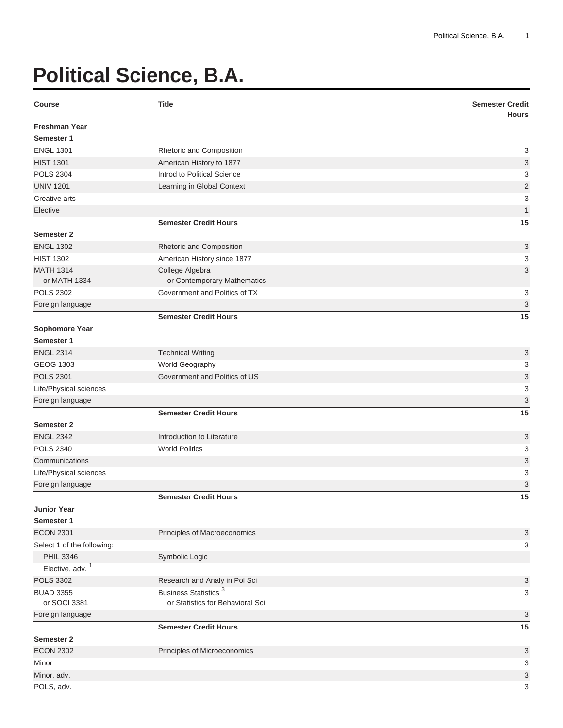## **Political Science, B.A.**

| <b>Course</b>               | <b>Title</b>                     | <b>Semester Credit</b><br><b>Hours</b> |
|-----------------------------|----------------------------------|----------------------------------------|
| <b>Freshman Year</b>        |                                  |                                        |
| Semester 1                  |                                  |                                        |
| <b>ENGL 1301</b>            | Rhetoric and Composition         | 3                                      |
| <b>HIST 1301</b>            | American History to 1877         | 3                                      |
| <b>POLS 2304</b>            | Introd to Political Science      | 3                                      |
| <b>UNIV 1201</b>            | Learning in Global Context       | $\overline{2}$                         |
| Creative arts               |                                  | 3                                      |
| Elective                    |                                  | $\mathbf{1}$                           |
|                             | <b>Semester Credit Hours</b>     | 15                                     |
| Semester 2                  |                                  |                                        |
| <b>ENGL 1302</b>            | Rhetoric and Composition         | 3                                      |
| <b>HIST 1302</b>            | American History since 1877      | 3                                      |
| <b>MATH 1314</b>            | College Algebra                  | 3                                      |
| or MATH 1334                | or Contemporary Mathematics      |                                        |
| <b>POLS 2302</b>            | Government and Politics of TX    | 3                                      |
| Foreign language            |                                  | $\ensuremath{\mathsf{3}}$              |
|                             | <b>Semester Credit Hours</b>     | 15                                     |
| Sophomore Year              |                                  |                                        |
| Semester 1                  |                                  |                                        |
| <b>ENGL 2314</b>            | <b>Technical Writing</b>         | 3                                      |
| <b>GEOG 1303</b>            | World Geography                  | 3                                      |
| <b>POLS 2301</b>            | Government and Politics of US    | $\ensuremath{\mathsf{3}}$              |
| Life/Physical sciences      |                                  | 3                                      |
| Foreign language            |                                  | 3                                      |
|                             | <b>Semester Credit Hours</b>     | 15                                     |
| Semester 2                  |                                  |                                        |
| <b>ENGL 2342</b>            | Introduction to Literature       | 3                                      |
| <b>POLS 2340</b>            | <b>World Politics</b>            | 3                                      |
| Communications              |                                  | 3                                      |
| Life/Physical sciences      |                                  | 3                                      |
| Foreign language            |                                  | 3                                      |
|                             | <b>Semester Credit Hours</b>     | 15                                     |
| <b>Junior Year</b>          |                                  |                                        |
| Semester 1                  |                                  |                                        |
| <b>ECON 2301</b>            | Principles of Macroeconomics     | 3                                      |
| Select 1 of the following:  |                                  | 3                                      |
| <b>PHIL 3346</b>            | Symbolic Logic                   |                                        |
| Elective, adv. <sup>1</sup> |                                  |                                        |
| <b>POLS 3302</b>            | Research and Analy in Pol Sci    | 3                                      |
| <b>BUAD 3355</b>            | Business Statistics <sup>3</sup> | 3                                      |
| or SOCI 3381                | or Statistics for Behavioral Sci |                                        |
| Foreign language            |                                  | 3                                      |
|                             | <b>Semester Credit Hours</b>     | 15                                     |
| Semester 2                  |                                  |                                        |
| <b>ECON 2302</b>            | Principles of Microeconomics     | 3                                      |
| Minor                       |                                  | 3                                      |
| Minor, adv.                 |                                  | 3                                      |
| POLS, adv.                  |                                  | 3                                      |